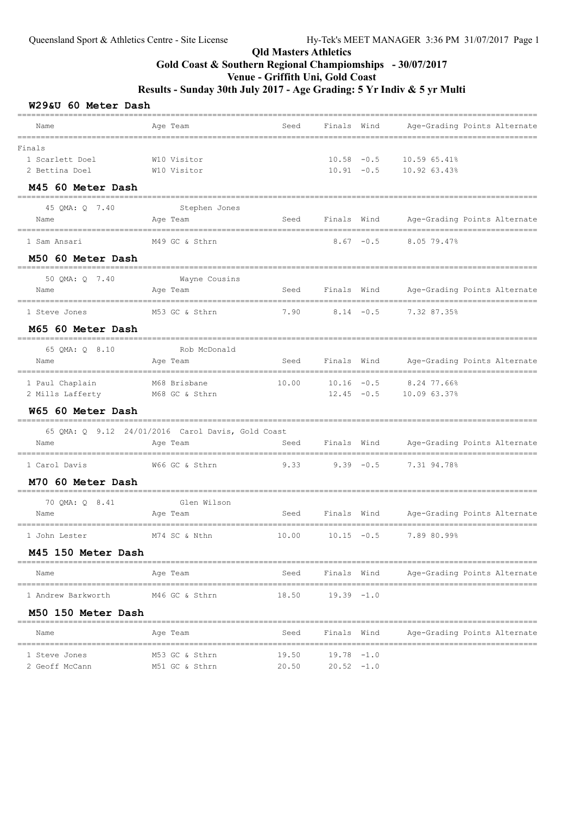#### W29&U 60 Meter Dash

| Name                                               | Age Team                                                      | Seed                    | Finals Wind                   | Age-Grading Points Alternate                                                     |
|----------------------------------------------------|---------------------------------------------------------------|-------------------------|-------------------------------|----------------------------------------------------------------------------------|
| -------                                            |                                                               | ======================= |                               | =========                                                                        |
| Finals<br>1 Scarlett Doel<br>2 Bettina Doel        | W10 Visitor<br>W10 Visitor                                    |                         |                               | $10.58 - 0.5$ 10.59 65.41%<br>$10.91 - 0.5$ $10.92$ 63.43%                       |
| M45 60 Meter Dash                                  |                                                               |                         |                               |                                                                                  |
| 45 OMA: 0 7.40<br>Name                             | Stephen Jones<br>Age Team                                     | Seed                    |                               | Finals Wind Age-Grading Points Alternate                                         |
| 1 Sam Ansari                                       | M49 GC & Sthrn                                                |                         |                               | $8.67 -0.5$ $8.05$ 79.47%                                                        |
| M50 60 Meter Dash                                  |                                                               |                         |                               |                                                                                  |
| 50 QMA: Q 7.40<br>Name                             | -------------------------------<br>Wayne Cousins<br>Age Team  | Seed                    | Finals Wind                   | Age-Grading Points Alternate                                                     |
| 1 Steve Jones                                      | M53 GC & Sthrn                                                | 7.90                    | $8.14 - 0.5$                  | 7.32 87.35%                                                                      |
| M65 60 Meter Dash                                  |                                                               |                         |                               |                                                                                  |
| 65 QMA: Q 8.10<br>Name                             | Rob McDonald<br>Age Team                                      | Seed                    | Finals Wind                   | Age-Grading Points Alternate                                                     |
| 1 Paul Chaplain<br>2 Mills Lafferty M68 GC & Sthrn | M68 Brisbane                                                  | 10.00                   |                               | _____________________<br>$10.16$ $-0.5$ 8.24 77.66%<br>$12.45 -0.5$ 10.09 63.37% |
| W65 60 Meter Dash                                  |                                                               |                         |                               |                                                                                  |
| Name                                               | 65 QMA: Q 9.12 24/01/2016 Carol Davis, Gold Coast<br>Age Team | Seed                    | Finals Wind                   | Age-Grading Points Alternate                                                     |
| 1 Carol Davis                                      | W66 GC & Sthrn                                                | $9.33$ $9.39$ $-0.5$    |                               | 7.31 94.78%                                                                      |
| M70 60 Meter Dash                                  |                                                               |                         |                               |                                                                                  |
| 70 QMA: Q 8.41<br>Name                             | Glen Wilson<br>Age Team                                       | Seed                    | Finals Wind                   | Age-Grading Points Alternate                                                     |
| 1 John Lester                                      | M74 SC & Nthn                                                 | 10.00                   | $10.15 - 0.5$                 | 7.89 80.99%                                                                      |
| M45 150 Meter Dash                                 |                                                               |                         |                               |                                                                                  |
| Name                                               | Age Team                                                      |                         | Seed Finals Wind              | Age-Grading Points Alternate                                                     |
| 1 Andrew Barkworth                                 | M46 GC & Sthrn                                                | 18.50 19.39 -1.0        |                               |                                                                                  |
| M50 150 Meter Dash                                 |                                                               |                         |                               |                                                                                  |
| Name                                               | Age Team                                                      | Seed                    | Finals Wind                   | Age-Grading Points Alternate                                                     |
| 1 Steve Jones<br>2 Geoff McCann                    | M53 GC & Sthrn<br>M51 GC & Sthrn                              | 19.50<br>20.50          | $19.78 - 1.0$<br>$20.52 -1.0$ |                                                                                  |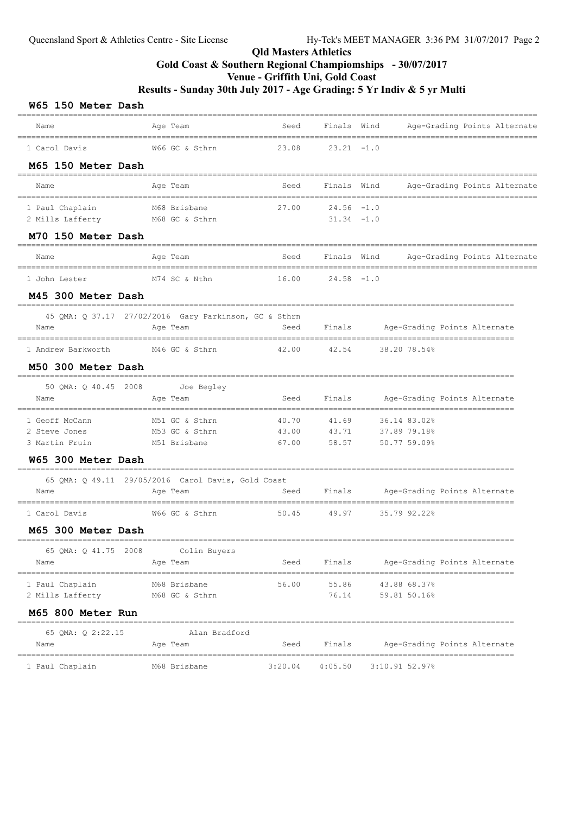#### W65 150 Motor Dash

|                                                    |                                                       |         |                               | =============================== |                                                              |
|----------------------------------------------------|-------------------------------------------------------|---------|-------------------------------|---------------------------------|--------------------------------------------------------------|
| Name                                               | Age Team                                              | Seed    | Finals Wind                   |                                 | Age-Grading Points Alternate                                 |
| 1 Carol Davis                                      | W66 GC & Sthrn                                        | 23.08   | $23.21 -1.0$                  |                                 |                                                              |
| M65 150 Meter Dash                                 |                                                       |         |                               |                                 |                                                              |
| Name                                               | Age Team                                              | Seed    | Finals Wind                   |                                 | Age-Grading Points Alternate                                 |
| 1 Paul Chaplain<br>2 Mills Lafferty M68 GC & Sthrn | M68 Brisbane                                          | 27.00   | $24.56 - 1.0$<br>$31.34 -1.0$ |                                 |                                                              |
| M70 150 Meter Dash                                 |                                                       |         |                               |                                 |                                                              |
| Name                                               | Age Team                                              | Seed    |                               | Finals Wind                     | Age-Grading Points Alternate                                 |
| 1 John Lester                                      | M74 SC & Nthn                                         | 16.00   | $24.58 - 1.0$                 |                                 |                                                              |
| M45 300 Meter Dash                                 |                                                       |         |                               |                                 |                                                              |
|                                                    | 45 QMA: Q 37.17 27/02/2016 Gary Parkinson, GC & Sthrn |         |                               |                                 |                                                              |
| Name                                               | Age Team                                              | Seed    | Finals                        |                                 | Age-Grading Points Alternate                                 |
| 1 Andrew Barkworth M46 GC & Sthrn                  |                                                       | 42.00   | 42.54                         | 38.20 78.54%                    |                                                              |
| M50 300 Meter Dash                                 |                                                       |         |                               |                                 |                                                              |
| 50 QMA: Q 40.45 2008 Joe Begley                    |                                                       |         |                               |                                 |                                                              |
| Name                                               | Age Team                                              | Seed    | Finals                        |                                 | Age-Grading Points Alternate                                 |
| 1 Geoff McCann                                     | M51 GC & Sthrn                                        | 40.70   | 41.69                         | 36.14 83.02%                    |                                                              |
| 2 Steve Jones                                      | M53 GC & Sthrn                                        | 43.00   | 43.71                         | 37.89 79.18%                    |                                                              |
| 3 Martin Fruin                                     | M51 Brisbane                                          | 67.00   | 58.57                         | 50.77 59.09%                    |                                                              |
| <b>W65 300 Meter Dash</b>                          | ====================                                  |         |                               |                                 |                                                              |
|                                                    | 65 QMA: Q 49.11 29/05/2016 Carol Davis, Gold Coast    |         |                               |                                 |                                                              |
| Name                                               | Age Team                                              | Seed    | Finals                        |                                 | Age-Grading Points Alternate                                 |
| 1 Carol Davis                                      | W66 GC & Sthrn                                        | 50.45   | 49.97                         | 35.79 92.22%                    |                                                              |
| M65 300 Meter Dash                                 |                                                       |         |                               |                                 |                                                              |
| 65 QMA: Q 41.75 2008                               | Colin Buyers                                          |         |                               |                                 |                                                              |
| Name                                               | Age Team                                              | Seed    | Finals                        | ============                    | Age-Grading Points Alternate<br>---------------------------- |
| 1 Paul Chaplain                                    | M68 Brisbane                                          | 56.00   | 55.86                         | 43.88 68.37%                    |                                                              |
| 2 Mills Lafferty                                   | M68 GC & Sthrn                                        |         | 76.14                         | 59.81 50.16%                    |                                                              |
| M65 800 Meter Run                                  |                                                       |         |                               |                                 |                                                              |
| 65 QMA: Q 2:22.15                                  | Alan Bradford                                         |         |                               |                                 |                                                              |
| Name                                               | Age Team                                              | Seed    | Finals                        |                                 | Age-Grading Points Alternate                                 |
| 1 Paul Chaplain                                    | M68 Brisbane                                          | 3:20.04 | 4:05.50                       | 3:10.91 52.97%                  |                                                              |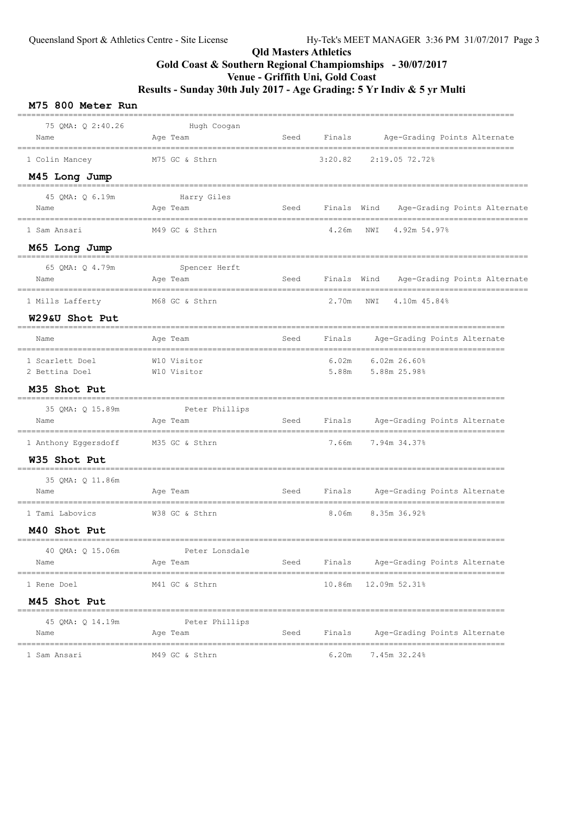| M75 800 Meter Run                                         |                                                    |      |                  |                                                        |
|-----------------------------------------------------------|----------------------------------------------------|------|------------------|--------------------------------------------------------|
| 75 QMA: Q 2:40.26<br>Name                                 | Hugh Coogan<br>Age Team                            |      |                  | Seed Finals Age-Grading Points Alternate               |
| 1 Colin Mancey                                            | M75 GC & Sthrn                                     |      | 3:20.82          | 2:19.05 72.72%                                         |
| M45 Long Jump                                             |                                                    |      |                  |                                                        |
| 45 QMA: Q 6.19m<br>Name                                   | Harry Giles<br>Age Team                            |      | Seed Finals Wind | Age-Grading Points Alternate                           |
| 1 Sam Ansari                                              | M49 GC & Sthrn                                     |      | 4.26m            | NWI<br>4.92m 54.97%                                    |
| M65 Long Jump                                             |                                                    |      |                  |                                                        |
| 65 QMA: Q 4.79m<br>Name                                   | Spencer Herft<br>Age Team                          |      | Seed Finals Wind | Age-Grading Points Alternate                           |
| 1 Mills Lafferty                                          | M68 GC & Sthrn                                     |      | 2.70m            | NWI<br>4.10m 45.84%                                    |
| W29&U Shot Put                                            |                                                    |      |                  |                                                        |
| Name                                                      | Age Team                                           | Seed | Finals           | Age-Grading Points Alternate                           |
| 1 Scarlett Doel<br>2 Bettina Doel                         | W10 Visitor<br>W10 Visitor                         |      | 6.02m<br>5.88m   | $6.02m$ 26.60%<br>5.88m 25.98%                         |
| M35 Shot Put                                              |                                                    |      |                  |                                                        |
| _____________________________<br>35 QMA: Q 15.89m<br>Name | Peter Phillips<br>Age Team                         | Seed | Finals           | Age-Grading Points Alternate                           |
| 1 Anthony Eggersdoff M35 GC & Sthrn                       |                                                    |      | 7.66m            | 7.94m 34.37%                                           |
| W35 Shot Put                                              |                                                    |      |                  |                                                        |
| 35 QMA: Q 11.86m<br>Name                                  | Age Team                                           | Seed | Finals           | Age-Grading Points Alternate                           |
| 1 Tami Labovics                                           | W38 GC & Sthrn                                     |      | 8.06m            | ----------------------------<br>8.35m 36.92%           |
| M40 Shot Put                                              |                                                    |      |                  |                                                        |
| 40 QMA: Q 15.06m<br>Name                                  | ____________________<br>Peter Lonsdale<br>Age Team | Seed | Finals           | Age-Grading Points Alternate                           |
| 1 Rene Doel                                               | M41 GC & Sthrn                                     |      | 10.86m           | -----------------------------------<br>$12.09m$ 52.31% |
| M45 Shot Put                                              |                                                    |      |                  |                                                        |
| 45 QMA: Q 14.19m<br>Name                                  | Peter Phillips<br>Age Team                         | Seed | Finals           | Age-Grading Points Alternate                           |
| 1 Sam Ansari                                              | M49 GC & Sthrn                                     |      | 6.20m            | 7.45m 32.24%                                           |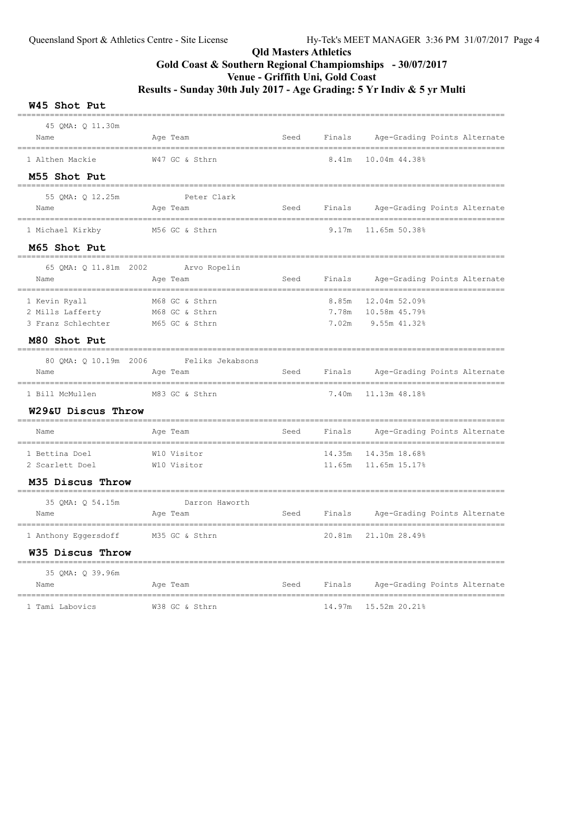#### W45 Shot Put

| 45 QMA: Q 11.30m<br>Name                                | Age Team                                           | Seed | Finals                  | Age-Grading Points Alternate                   |
|---------------------------------------------------------|----------------------------------------------------|------|-------------------------|------------------------------------------------|
| -------<br>1 Althen Mackie                              | W47 GC & Sthrn                                     |      | 8.41m                   | 10.04m 44.38%                                  |
| M55 Shot Put                                            |                                                    |      |                         |                                                |
| 55 QMA: Q 12.25m<br>Name                                | ---------------------<br>Peter Clark<br>Age Team   | Seed |                         | Finals Age-Grading Points Alternate            |
| 1 Michael Kirkby                                        | M56 GC & Sthrn                                     |      | 9.17m                   | 11.65m 50.38%                                  |
| M65 Shot Put                                            |                                                    |      |                         |                                                |
| 65 QMA: Q 11.81m 2002<br>Name                           | Arvo Ropelin<br>Age Team                           | Seed |                         | Finals Age-Grading Points Alternate            |
| 1 Kevin Ryall<br>2 Mills Lafferty<br>3 Franz Schlechter | M68 GC & Sthrn<br>M68 GC & Sthrn<br>M65 GC & Sthrn |      | 8.85m<br>7.78m<br>7.02m | 12.04m 52.09%<br>10.58m 45.79%<br>9.55m 41.32% |
| M80 Shot Put                                            |                                                    |      |                         |                                                |
| 80 QMA: Q 10.19m 2006<br>Name                           | Feliks Jekabsons<br>Age Team                       | Seed |                         | Finals Age-Grading Points Alternate            |
| 1 Bill McMullen                                         | ________________<br>M83 GC & Sthrn                 |      | 7.40m                   | 11.13m 48.18%                                  |
| W29&U Discus Throw                                      |                                                    |      |                         |                                                |
| Name                                                    | Age Team                                           | Seed | Finals                  | Age-Grading Points Alternate                   |
| 1 Bettina Doel<br>2 Scarlett Doel                       | W10 Visitor<br>W10 Visitor                         |      | 14.35m<br>11.65m        | 14.35m 18.68%<br>11.65m 15.17%                 |
| M35 Discus Throw                                        | ____________________________________               |      |                         |                                                |
| 35 QMA: Q 54.15m<br>Name                                | Darron Haworth<br>Age Team                         | Seed | Finals                  | Age-Grading Points Alternate                   |
| 1 Anthony Eggersdoff M35 GC & Sthrn                     |                                                    |      | 20.81m                  | 21.10m 28.49%                                  |
| W35 Discus Throw                                        |                                                    |      |                         |                                                |
| 35 QMA: Q 39.96m<br>Name                                | Age Team                                           | Seed | Finals                  | Age-Grading Points Alternate                   |
| 1 Tami Labovics                                         | W38 GC & Sthrn                                     |      | 14.97m                  | 15.52m 20.21%                                  |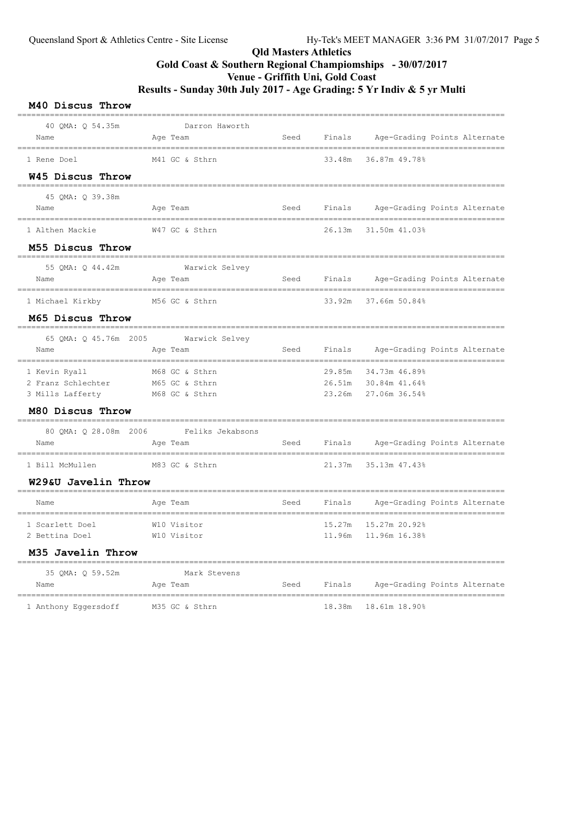#### M40 Discus Throw ========================================================================================================= 40 QMA: Q 54.35m Darron Haworth Name Age Team Seed Finals Age-Grading Points Alternate ========================================================================================================= 1 Rene Doel M41 GC & Sthrn 33.48m 36.87m 49.78% W45 Discus Throw ========================================================================================================= 45 QMA: Q 39.38m Name Age Team Seed Finals Age-Grading Points Alternate ========================================================================================================= 1 Althen Mackie W47 GC & Sthrn 26.13m 31.50m 41.03% M55 Discus Throw ========================================================================================================= 55 QMA: Q 44.42m Warwick Selvey Name Age Team Seed Finals Age-Grading Points Alternate ========================================================================================================= 1 Michael Kirkby M56 GC & Sthrn 33.92m 37.66m 50.84% M65 Discus Throw ========================================================================================================= 65 QMA: Q 45.76m 2005 Warwick Selvey Name Age Team Seed Finals Age-Grading Points Alternate ========================================================================================================= 1 Kevin Ryall M68 GC & Sthrn 29.85m 34.73m 46.89% 2 Franz Schlechter M65 GC & Sthrn 26.51m 30.84m 41.64% 3 Mills Lafferty M68 GC & Sthrn 23.26m 27.06m 36.54% M80 Discus Throw ========================================================================================================= 80 QMA: Q 28.08m 2006 Feliks Jekabsons Name and Age Team Seed Finals Age-Grading Points Alternate ========================================================================================================= 1 Bill McMullen M83 GC & Sthrn 21.37m 35.13m 47.43% W29&U Javelin Throw ========================================================================================================= Name and Age Team Seed Finals Age-Grading Points Alternate ========================================================================================================= 1 Scarlett Doel W10 Visitor 15.27m 15.27m 20.92% 2 Bettina Doel W10 Visitor 11.96m 11.96m 16.38% M35 Javelin Throw ========================================================================================================= 35 QMA: Q 59.52m Mark Stevens Name Age Team Seed Finals Age-Grading Points Alternate ========================================================================================================= 1 Anthony Eggersdoff M35 GC & Sthrn 18.38m 18.61m 18.90%